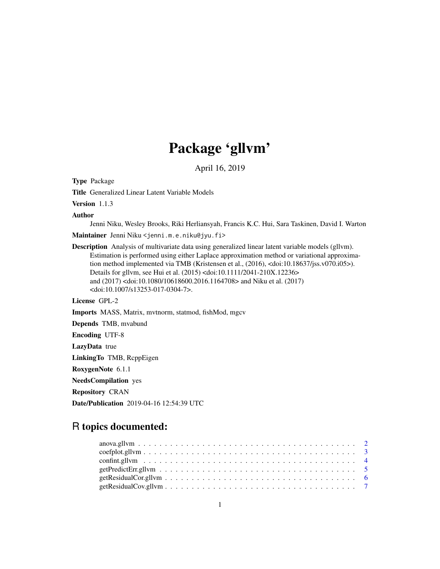# Package 'gllvm'

April 16, 2019

<span id="page-0-0"></span>Type Package

Title Generalized Linear Latent Variable Models

Version 1.1.3

Author

Jenni Niku, Wesley Brooks, Riki Herliansyah, Francis K.C. Hui, Sara Taskinen, David I. Warton Maintainer Jenni Niku <jenni.m.e.niku@jyu.fi>

Description Analysis of multivariate data using generalized linear latent variable models (gllvm). Estimation is performed using either Laplace approximation method or variational approximation method implemented via TMB (Kristensen et al., (2016), <doi:10.18637/jss.v070.i05>). Details for gllvm, see Hui et al. (2015) <doi:10.1111/2041-210X.12236> and (2017) <doi:10.1080/10618600.2016.1164708> and Niku et al. (2017) <doi:10.1007/s13253-017-0304-7>.

License GPL-2

Imports MASS, Matrix, mvtnorm, statmod, fishMod, mgcv

Depends TMB, mvabund

Encoding UTF-8

LazyData true

LinkingTo TMB, RcppEigen

RoxygenNote 6.1.1

NeedsCompilation yes

Repository CRAN

Date/Publication 2019-04-16 12:54:39 UTC

# R topics documented: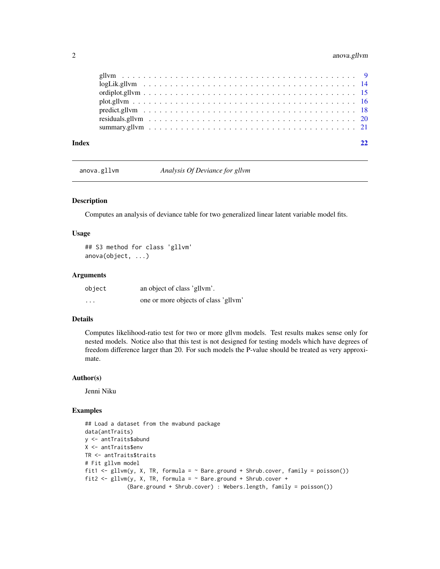# <span id="page-1-0"></span>2 anova.gllvm

anova.gllvm *Analysis Of Deviance for gllvm*

# Description

Computes an analysis of deviance table for two generalized linear latent variable model fits.

# Usage

## S3 method for class 'gllvm' anova(object, ...)

#### Arguments

| object   | an object of class 'gllym'.          |
|----------|--------------------------------------|
| $\cdots$ | one or more objects of class 'gllvm' |

# Details

Computes likelihood-ratio test for two or more gllvm models. Test results makes sense only for nested models. Notice also that this test is not designed for testing models which have degrees of freedom difference larger than 20. For such models the P-value should be treated as very approximate.

#### Author(s)

Jenni Niku

```
## Load a dataset from the mvabund package
data(antTraits)
y <- antTraits$abund
X <- antTraits$env
TR <- antTraits$traits
# Fit gllvm model
fit1 <- gllvm(y, X, TR, formula = ~Bare.ground + Shrub.cover, family = poisson())fit2 <- gllvm(y, X, TR, formula = ~Bare.ground + Shrub.cover +(Bare.ground + Shrub.cover) : Webers.length, family = poisson())
```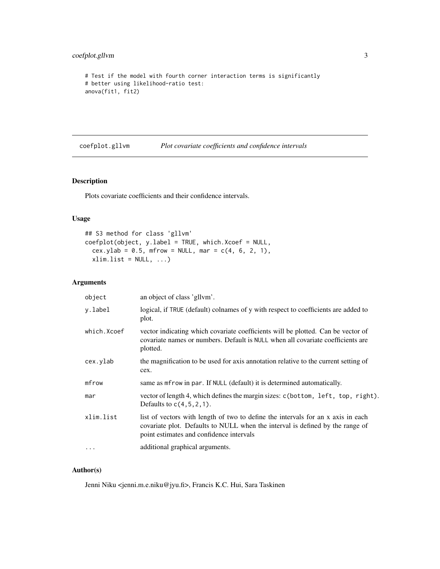# <span id="page-2-0"></span>coefplot.gllvm 3

```
# Test if the model with fourth corner interaction terms is significantly
# better using likelihood-ratio test:
anova(fit1, fit2)
```
<span id="page-2-1"></span>coefplot.gllvm *Plot covariate coefficients and confidence intervals*

# Description

Plots covariate coefficients and their confidence intervals.

# Usage

```
## S3 method for class 'gllvm'
coefplot(object, y.label = TRUE, which.Xcoef = NULL,
  cex.ylab = 0.5, mfrow = NULL, mar = c(4, 6, 2, 1),
 xlim.list = NULL, ...)
```
#### Arguments

| object      | an object of class 'gllvm'.                                                                                                                                                                                   |
|-------------|---------------------------------------------------------------------------------------------------------------------------------------------------------------------------------------------------------------|
| y.label     | logical, if TRUE (default) colnames of y with respect to coefficients are added to<br>plot.                                                                                                                   |
| which.Xcoef | vector indicating which covariate coefficients will be plotted. Can be vector of<br>covariate names or numbers. Default is NULL when all covariate coefficients are<br>plotted.                               |
| cex.ylab    | the magnification to be used for axis annotation relative to the current setting of<br>cex.                                                                                                                   |
| mfrow       | same as merow in par. If NULL (default) it is determined automatically.                                                                                                                                       |
| mar         | vector of length 4, which defines the margin sizes: c(bottom, left, top, right).<br>Defaults to $c(4,5,2,1)$ .                                                                                                |
| xlim.list   | list of vectors with length of two to define the intervals for an x axis in each<br>covariate plot. Defaults to NULL when the interval is defined by the range of<br>point estimates and confidence intervals |
| $\cdots$    | additional graphical arguments.                                                                                                                                                                               |

# Author(s)

Jenni Niku <jenni.m.e.niku@jyu.fi>, Francis K.C. Hui, Sara Taskinen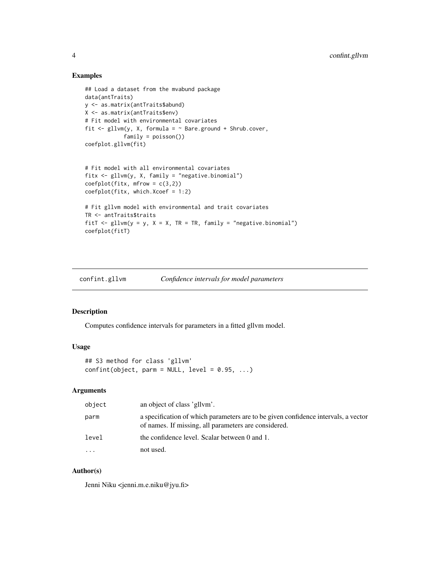### Examples

```
## Load a dataset from the mvabund package
data(antTraits)
y <- as.matrix(antTraits$abund)
X <- as.matrix(antTraits$env)
# Fit model with environmental covariates
fit \le gllvm(y, X, formula = \sim Bare.ground + Shrub.cover,
            family = poisson())
coefplot.gllvm(fit)
# Fit model with all environmental covariates
fitx \leq gllvm(y, X, family = "negative.binomial")
coefflot(fitx, mfrow = c(3,2))coefplot(fitx, which.Xcoef = 1:2)
# Fit gllvm model with environmental and trait covariates
TR <- antTraits$traits
fitT \le gllvm(y = y, X = X, TR = TR, family = "negative.binomial")
coefplot(fitT)
```
<span id="page-3-1"></span>confint.gllvm *Confidence intervals for model parameters*

### Description

Computes confidence intervals for parameters in a fitted gllvm model.

#### Usage

```
## S3 method for class 'gllvm'
confint(object, parm = NULL, level = 0.95, ...)
```
# Arguments

| object    | an object of class 'gllym'.                                                                                                                |
|-----------|--------------------------------------------------------------------------------------------------------------------------------------------|
| parm      | a specification of which parameters are to be given confidence intervals, a vector<br>of names. If missing, all parameters are considered. |
| level     | the confidence level. Scalar between 0 and 1.                                                                                              |
| $\ddotsc$ | not used.                                                                                                                                  |

# Author(s)

Jenni Niku <jenni.m.e.niku@jyu.fi>

<span id="page-3-0"></span>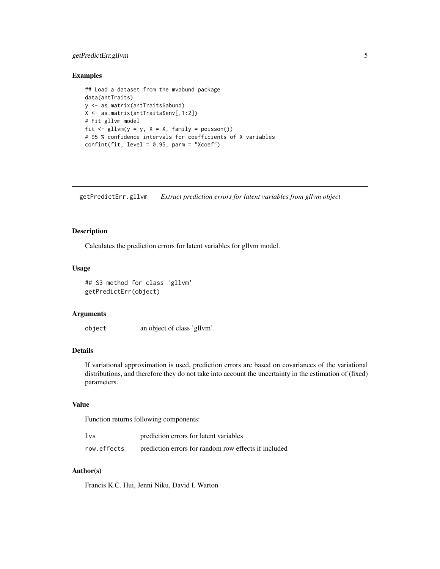# <span id="page-4-0"></span>getPredictErr.gllvm 5

#### Examples

```
## Load a dataset from the mvabund package
data(antTraits)
y <- as.matrix(antTraits$abund)
X <- as.matrix(antTraits$env[,1:2])
# Fit gllvm model
fit \leftarrow gllvm(y = y, X = X, family = poisson())
# 95 % confidence intervals for coefficients of X variables
confint(fit, level = 0.95, parm = "Xcoef")
```
getPredictErr.gllvm *Extract prediction errors for latent variables from gllvm object*

#### Description

Calculates the prediction errors for latent variables for gllvm model.

# Usage

```
## S3 method for class 'gllvm'
getPredictErr(object)
```
# Arguments

object an object of class 'gllvm'.

# Details

If variational approximation is used, prediction errors are based on covariances of the variational distributions, and therefore they do not take into account the uncertainty in the estimation of (fixed) parameters.

# Value

Function returns following components:

| 1vs         | prediction errors for latent variables               |
|-------------|------------------------------------------------------|
| row.effects | prediction errors for random row effects if included |

# Author(s)

Francis K.C. Hui, Jenni Niku, David I. Warton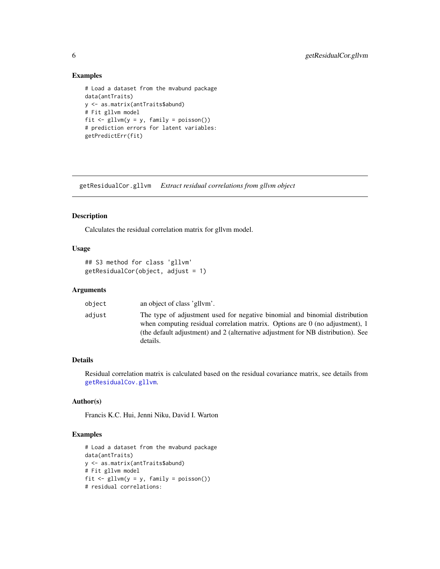### Examples

```
# Load a dataset from the mvabund package
data(antTraits)
y <- as.matrix(antTraits$abund)
# Fit gllvm model
fit \le gllvm(y = y, family = poisson())
# prediction errors for latent variables:
getPredictErr(fit)
```
getResidualCor.gllvm *Extract residual correlations from gllvm object*

#### Description

Calculates the residual correlation matrix for gllvm model.

# Usage

```
## S3 method for class 'gllvm'
getResidualCor(object, adjust = 1)
```
#### Arguments

| object | an object of class 'gllym'.                                                                                                                                                                                                                                   |
|--------|---------------------------------------------------------------------------------------------------------------------------------------------------------------------------------------------------------------------------------------------------------------|
| adjust | The type of adjustment used for negative binomial and binomial distribution<br>when computing residual correlation matrix. Options are $0$ (no adjustment), 1<br>(the default adjustment) and 2 (alternative adjustment for NB distribution). See<br>details. |

#### Details

Residual correlation matrix is calculated based on the residual covariance matrix, see details from [getResidualCov.gllvm](#page-6-1).

# Author(s)

Francis K.C. Hui, Jenni Niku, David I. Warton

```
# Load a dataset from the mvabund package
data(antTraits)
y <- as.matrix(antTraits$abund)
# Fit gllvm model
fit \le gllvm(y = y, family = poisson())
# residual correlations:
```
<span id="page-5-0"></span>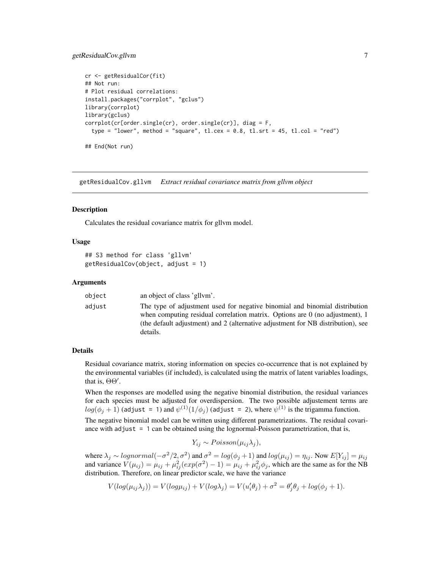# <span id="page-6-0"></span>getResidualCov.gllvm 7

```
cr <- getResidualCor(fit)
## Not run:
# Plot residual correlations:
install.packages("corrplot", "gclus")
library(corrplot)
library(gclus)
corrplot(cr[order.single(cr), order.single(cr)], diag = F,
 type = "lower", method = "square", tl.cex = 0.8, tl.srt = 45, tl.col = "red")
## End(Not run)
```
<span id="page-6-1"></span>getResidualCov.gllvm *Extract residual covariance matrix from gllvm object*

#### **Description**

Calculates the residual covariance matrix for gllvm model.

# Usage

```
## S3 method for class 'gllvm'
getResidualCov(object, adjust = 1)
```
#### Arguments

| object | an object of class 'gllym'.                                                                                                                                                                                                                                        |
|--------|--------------------------------------------------------------------------------------------------------------------------------------------------------------------------------------------------------------------------------------------------------------------|
| adjust | The type of adjustment used for negative binomial and binomial distribution<br>when computing residual correlation matrix. Options are $\theta$ (no adjustment), 1<br>(the default adjustment) and 2 (alternative adjustment for NB distribution), see<br>details. |

#### Details

Residual covariance matrix, storing information on species co-occurrence that is not explained by the environmental variables (if included), is calculated using the matrix of latent variables loadings, that is,  $\Theta\Theta'$ .

When the responses are modelled using the negative binomial distribution, the residual variances for each species must be adjusted for overdispersion. The two possible adjustement terms are  $log(\phi_j+1)$  (adjust = 1) and  $\psi^{(1)}(1/\phi_j)$  (adjust = 2), where  $\psi^{(1)}$  is the trigamma function.

The negative binomial model can be written using different parametrizations. The residual covariance with adjust  $= 1$  can be obtained using the lognormal-Poisson parametrization, that is,

$$
Y_{ij} \sim Poisson(\mu_{ij}\lambda_j),
$$

where  $\lambda_j \sim lognormal(-\sigma^2/2, \sigma^2)$  and  $\sigma^2 = log(\phi_j + 1)$  and  $log(\mu_{ij}) = \eta_{ij}$ . Now  $E[Y_{ij}] = \mu_{ij}$ and variance  $V(\mu_{ij}) = \mu_{ij} + \mu_{ij}^2(exp(\sigma^2) - 1) = \mu_{ij} + \mu_{ij}^2\phi_j$ , which are the same as for the NB distribution. Therefore, on linear predictor scale, we have the variance

$$
V(log(\mu_{ij}\lambda_j)) = V(log\mu_{ij}) + V(log\lambda_j) = V(u'_i\theta_j) + \sigma^2 = \theta'_j\theta_j + log(\phi_j + 1).
$$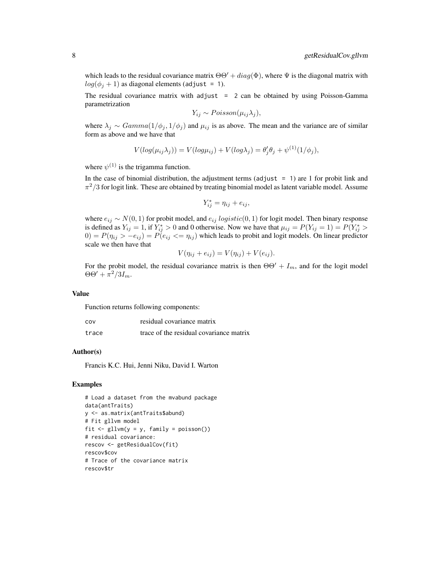which leads to the residual covariance matrix  $\Theta \Theta' + diag(\Phi)$ , where  $\Psi$  is the diagonal matrix with  $log(\phi_i + 1)$  as diagonal elements (adjust = 1).

The residual covariance matrix with adjust  $= 2$  can be obtained by using Poisson-Gamma parametrization

$$
Y_{ij} \sim Poisson(\mu_{ij}\lambda_j),
$$

where  $\lambda_j \sim Gamma(1/\phi_j, 1/\phi_j)$  and  $\mu_{ij}$  is as above. The mean and the variance are of similar form as above and we have that

$$
V(log(\mu_{ij}\lambda_j)) = V(log\mu_{ij}) + V(log\lambda_j) = \theta'_j \theta_j + \psi^{(1)}(1/\phi_j),
$$

where  $\psi^{(1)}$  is the trigamma function.

In the case of binomial distribution, the adjustment terms (adjust  $= 1$ ) are 1 for probit link and  $\pi^2/3$  for logit link. These are obtained by treating binomial model as latent variable model. Assume

$$
Y_{ij}^* = \eta_{ij} + e_{ij},
$$

where  $e_{ij} \sim N(0, 1)$  for probit model, and  $e_{ij}$  logistic(0, 1) for logit model. Then binary response is defined as  $Y_{ij} = 1$ , if  $Y_{ij}^* > 0$  and 0 otherwise. Now we have that  $\mu_{ij} = P(Y_{ij} = 1) = P(Y_{ij}^*)$  $0 = P(\eta_{ij} > -e_{ij}) = P(e_{ij} < = \eta_{ij})$  which leads to probit and logit models. On linear predictor scale we then have that

$$
V(\eta_{ij} + e_{ij}) = V(\eta_{ij}) + V(e_{ij}).
$$

For the probit model, the residual covariance matrix is then  $\Theta\Theta' + I_m$ , and for the logit model  $\Theta \Theta' + \pi^2/3I_m.$ 

#### Value

Function returns following components:

| cov   | residual covariance matrix              |
|-------|-----------------------------------------|
| trace | trace of the residual covariance matrix |

#### Author(s)

Francis K.C. Hui, Jenni Niku, David I. Warton

```
# Load a dataset from the mvabund package
data(antTraits)
y <- as.matrix(antTraits$abund)
# Fit gllvm model
fit \le gllvm(y = y, family = poisson())
# residual covariance:
rescov <- getResidualCov(fit)
rescov$cov
# Trace of the covariance matrix
rescov$tr
```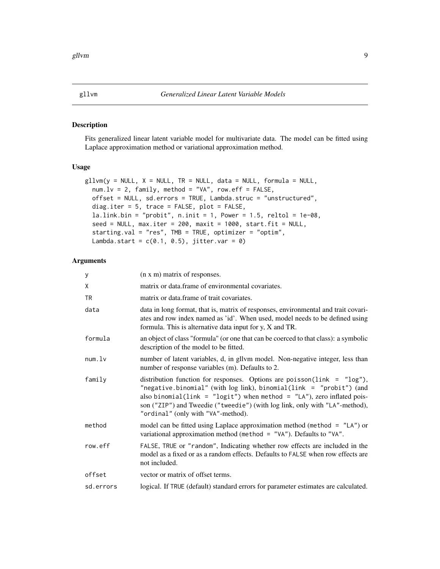#### <span id="page-8-1"></span><span id="page-8-0"></span>Description

Fits generalized linear latent variable model for multivariate data. The model can be fitted using Laplace approximation method or variational approximation method.

#### Usage

```
gllvm(y = NULL, X = NULL, TR = NULL, data = NULL, formula = NULL,num.lv = 2, family, method = "VA", row.eff = FALSE,
 offset = NULL, sd.errors = TRUE, Lambda.struc = "unstructured",
  diag.iter = 5, trace = FALSE, plot = FALSE,
  la.link.bin = "probit", n.init = 1, Power = 1.5, reltol = 1e-08,
  seed = NULL, max.iter = 200, maxit = 1000, start.fit = NULL,
  starting.val = "res", TMB = TRUE, optimizer = "optim",
  Lambda.start = c(0.1, 0.5), jitter.var = 0)
```
# Arguments

| y         | (n x m) matrix of responses.                                                                                                                                                                                                                                                                                                                        |
|-----------|-----------------------------------------------------------------------------------------------------------------------------------------------------------------------------------------------------------------------------------------------------------------------------------------------------------------------------------------------------|
| χ         | matrix or data.frame of environmental covariates.                                                                                                                                                                                                                                                                                                   |
| TR        | matrix or data frame of trait covariates.                                                                                                                                                                                                                                                                                                           |
| data      | data in long format, that is, matrix of responses, environmental and trait covari-<br>ates and row index named as 'id'. When used, model needs to be defined using<br>formula. This is alternative data input for $y$ , $X$ and TR.                                                                                                                 |
| formula   | an object of class "formula" (or one that can be coerced to that class): a symbolic<br>description of the model to be fitted.                                                                                                                                                                                                                       |
| num.lv    | number of latent variables, d, in gllvm model. Non-negative integer, less than<br>number of response variables (m). Defaults to 2.                                                                                                                                                                                                                  |
| family    | distribution function for responses. Options are poisson( $link = "log")$ ,<br>"negative.binomial" (with $log$ link), binomial(link = "probit") (and<br>also binomial(link = "logit") when method = "LA"), zero inflated pois-<br>son ("ZIP") and Tweedie ("tweedie") (with log link, only with "LA"-method),<br>"ordinal" (only with "VA"-method). |
| method    | model can be fitted using Laplace approximation method (method $=$ "LA") or<br>variational approximation method (method = "VA"). Defaults to "VA".                                                                                                                                                                                                  |
| row.eff   | FALSE, TRUE or "random", Indicating whether row effects are included in the<br>model as a fixed or as a random effects. Defaults to FALSE when row effects are<br>not included.                                                                                                                                                                     |
| offset    | vector or matrix of offset terms.                                                                                                                                                                                                                                                                                                                   |
| sd.errors | logical. If TRUE (default) standard errors for parameter estimates are calculated.                                                                                                                                                                                                                                                                  |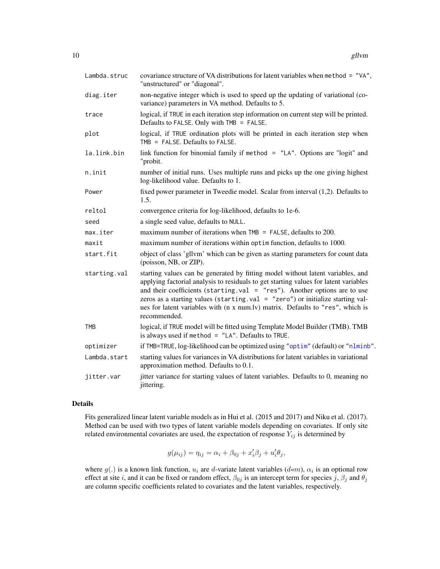<span id="page-9-0"></span>

| Lambda.struc | covariance structure of VA distributions for latent variables when method = "VA",<br>"unstructured" or "diagonal".                                                                                                                                                                                                                                                                                                                          |
|--------------|---------------------------------------------------------------------------------------------------------------------------------------------------------------------------------------------------------------------------------------------------------------------------------------------------------------------------------------------------------------------------------------------------------------------------------------------|
| diag.iter    | non-negative integer which is used to speed up the updating of variational (co-<br>variance) parameters in VA method. Defaults to 5.                                                                                                                                                                                                                                                                                                        |
| trace        | logical, if TRUE in each iteration step information on current step will be printed.<br>Defaults to FALSE. Only with TMB = FALSE.                                                                                                                                                                                                                                                                                                           |
| plot         | logical, if TRUE ordination plots will be printed in each iteration step when<br>TMB = FALSE. Defaults to FALSE.                                                                                                                                                                                                                                                                                                                            |
| la.link.bin  | link function for binomial family if method = "LA". Options are "logit" and<br>"probit.                                                                                                                                                                                                                                                                                                                                                     |
| n.init       | number of initial runs. Uses multiple runs and picks up the one giving highest<br>log-likelihood value. Defaults to 1.                                                                                                                                                                                                                                                                                                                      |
| Power        | fixed power parameter in Tweedie model. Scalar from interval (1,2). Defaults to<br>1.5.                                                                                                                                                                                                                                                                                                                                                     |
| reltol       | convergence criteria for log-likelihood, defaults to 1e-6.                                                                                                                                                                                                                                                                                                                                                                                  |
| seed         | a single seed value, defaults to NULL.                                                                                                                                                                                                                                                                                                                                                                                                      |
| max.iter     | maximum number of iterations when $TMB = FALSE$ , defaults to 200.                                                                                                                                                                                                                                                                                                                                                                          |
| maxit        | maximum number of iterations within optim function, defaults to 1000.                                                                                                                                                                                                                                                                                                                                                                       |
| start.fit    | object of class 'gllvm' which can be given as starting parameters for count data<br>(poisson, NB, or ZIP).                                                                                                                                                                                                                                                                                                                                  |
| starting.val | starting values can be generated by fitting model without latent variables, and<br>applying factorial analysis to residuals to get starting values for latent variables<br>and their coefficients (starting.val = $"res"$ ). Another options are to use<br>zeros as a starting values (starting val = "zero") or initialize starting val-<br>ues for latent variables with (n x num.lv) matrix. Defaults to "res", which is<br>recommended. |
| <b>TMB</b>   | logical, if TRUE model will be fitted using Template Model Builder (TMB). TMB<br>is always used if method $=$ "LA". Defaults to TRUE.                                                                                                                                                                                                                                                                                                       |
| optimizer    | if TMB=TRUE, log-likelihood can be optimized using "optim" (default) or "nlminb".                                                                                                                                                                                                                                                                                                                                                           |
| Lambda.start | starting values for variances in VA distributions for latent variables in variational<br>approximation method. Defaults to 0.1.                                                                                                                                                                                                                                                                                                             |
| jitter.var   | jitter variance for starting values of latent variables. Defaults to 0, meaning no<br>jittering.                                                                                                                                                                                                                                                                                                                                            |

#### Details

Fits generalized linear latent variable models as in Hui et al. (2015 and 2017) and Niku et al. (2017). Method can be used with two types of latent variable models depending on covariates. If only site related environmental covariates are used, the expectation of response  $Y_{ij}$  is determined by

$$
g(\mu_{ij}) = \eta_{ij} = \alpha_i + \beta_{0j} + x_i'\beta_j + u_i'\theta_j,
$$

where  $g(.)$  is a known link function,  $u_i$  are d-variate latent variables  $(d \ll m)$ ,  $\alpha_i$  is an optional row effect at site i, and it can be fixed or random effect,  $\beta_{0j}$  is an intercept term for species j,  $\beta_j$  and  $\theta_j$ are column specific coefficients related to covariates and the latent variables, respectively.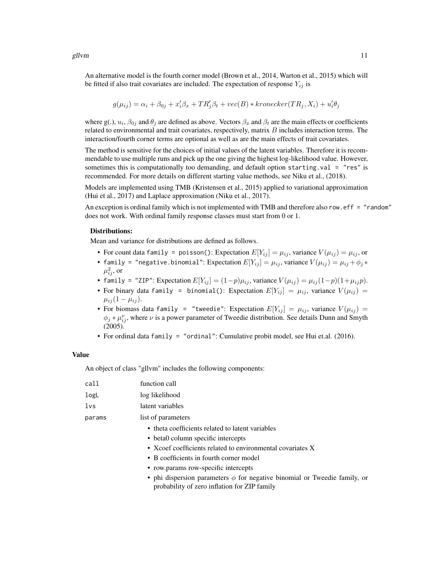An alternative model is the fourth corner model (Brown et al., 2014, Warton et al., 2015) which will be fitted if also trait covariates are included. The expectation of response  $Y_{ij}$  is

$$
g(\mu_{ij}) = \alpha_i + \beta_{0j} + x_i'\beta_x + TR_j'\beta_t + vec(B) * Kronecker(TR_j, X_i) + u_i'\theta_j
$$

where g(.),  $u_i$ ,  $\beta_{0j}$  and  $\theta_j$  are defined as above. Vectors  $\beta_x$  and  $\beta_t$  are the main effects or coefficients related to environmental and trait covariates, respectively, matrix  $B$  includes interaction terms. The interaction/fourth corner terms are optional as well as are the main effects of trait covariates.

The method is sensitive for the choices of initial values of the latent variables. Therefore it is recommendable to use multiple runs and pick up the one giving the highest log-likelihood value. However, sometimes this is computationally too demanding, and default option starting.val = "res" is recommended. For more details on different starting value methods, see Niku et al., (2018).

Models are implemented using TMB (Kristensen et al., 2015) applied to variational approximation (Hui et al., 2017) and Laplace approximation (Niku et al., 2017).

An exception is ordinal family which is not implemented with TMB and therefore also row.eff = "random" does not work. With ordinal family response classes must start from 0 or 1.

#### Distributions:

Mean and variance for distributions are defined as follows.

- For count data family = poisson(): Expectation  $E[Y_{ij}] = \mu_{ij}$ , variance  $V(\mu_{ij}) = \mu_{ij}$ , or
- family = "negative.binomial": Expectation  $E[Y_{ij}] = \mu_{ij}$ , variance  $V(\mu_{ij}) = \mu_{ij} + \phi_j *$  $\mu_{ij}^2$ , or
- family = "ZIP": Expectation  $E[Y_{ij}] = (1-p)\mu_{ij}$ , variance  $V(\mu_{ij}) = \mu_{ij}(1-p)(1+\mu_{ij}p)$ .
- For binary data family = binomial(): Expectation  $E[Y_{ij}] = \mu_{ij}$ , variance  $V(\mu_{ij}) =$  $\mu_{ij} (1 - \mu_{ij}).$
- For biomass data family = "tweedie": Expectation  $E[Y_{ij}] = \mu_{ij}$ , variance  $V(\mu_{ij}) =$  $\phi_j * \mu_{ij}^{\nu}$ , where  $\nu$  is a power parameter of Tweedie distribution. See details Dunn and Smyth (2005).
- For ordinal data family = "ordinal": Cumulative probit model, see Hui et.al. (2016).

# Value

An object of class "gllvm" includes the following components:

| call   | function call                                                                                                                  |
|--------|--------------------------------------------------------------------------------------------------------------------------------|
| logL   | log likelihood                                                                                                                 |
| lvs    | latent variables                                                                                                               |
| params | list of parameters                                                                                                             |
|        | • theta coefficients related to latent variables                                                                               |
|        | • beta0 column specific intercepts                                                                                             |
|        | • Xcoef coefficients related to environmental covariates X                                                                     |
|        | • B coefficients in fourth corner model                                                                                        |
|        | • row.params row-specific intercepts                                                                                           |
|        | • phi dispersion parameters $\phi$ for negative binomial or Tweedie family, or<br>probability of zero inflation for ZIP family |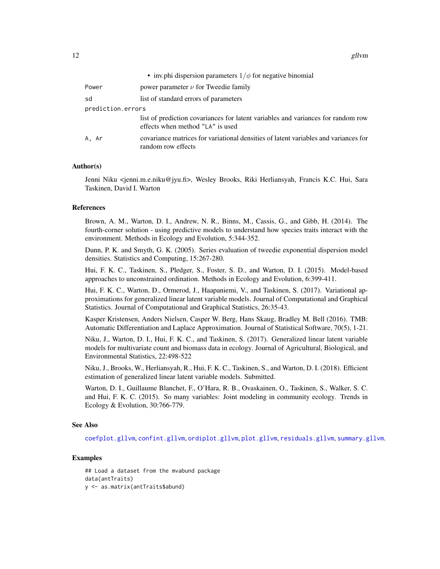<span id="page-11-0"></span>

|                   | • inv.phi dispersion parameters $1/\phi$ for negative binomial                                                       |
|-------------------|----------------------------------------------------------------------------------------------------------------------|
| Power             | power parameter $\nu$ for Tweedie family                                                                             |
| sd                | list of standard errors of parameters                                                                                |
| prediction.errors |                                                                                                                      |
|                   | list of prediction covariances for latent variables and variances for random row<br>effects when method "LA" is used |
| A. Ar             | covariance matrices for variational densities of latent variables and variances for<br>random row effects            |

#### Author(s)

Jenni Niku <jenni.m.e.niku@jyu.fi>, Wesley Brooks, Riki Herliansyah, Francis K.C. Hui, Sara Taskinen, David I. Warton

#### References

Brown, A. M., Warton, D. I., Andrew, N. R., Binns, M., Cassis, G., and Gibb, H. (2014). The fourth-corner solution - using predictive models to understand how species traits interact with the environment. Methods in Ecology and Evolution, 5:344-352.

Dunn, P. K. and Smyth, G. K. (2005). Series evaluation of tweedie exponential dispersion model densities. Statistics and Computing, 15:267-280.

Hui, F. K. C., Taskinen, S., Pledger, S., Foster, S. D., and Warton, D. I. (2015). Model-based approaches to unconstrained ordination. Methods in Ecology and Evolution, 6:399-411.

Hui, F. K. C., Warton, D., Ormerod, J., Haapaniemi, V., and Taskinen, S. (2017). Variational approximations for generalized linear latent variable models. Journal of Computational and Graphical Statistics. Journal of Computational and Graphical Statistics, 26:35-43.

Kasper Kristensen, Anders Nielsen, Casper W. Berg, Hans Skaug, Bradley M. Bell (2016). TMB: Automatic Differentiation and Laplace Approximation. Journal of Statistical Software, 70(5), 1-21.

Niku, J., Warton, D. I., Hui, F. K. C., and Taskinen, S. (2017). Generalized linear latent variable models for multivariate count and biomass data in ecology. Journal of Agricultural, Biological, and Environmental Statistics, 22:498-522

Niku, J., Brooks, W., Herliansyah, R., Hui, F. K. C., Taskinen, S., and Warton, D. I. (2018). Efficient estimation of generalized linear latent variable models. Submitted.

Warton, D. I., Guillaume Blanchet, F., O'Hara, R. B., Ovaskainen, O., Taskinen, S., Walker, S. C. and Hui, F. K. C. (2015). So many variables: Joint modeling in community ecology. Trends in Ecology & Evolution, 30:766-779.

#### See Also

[coefplot.gllvm](#page-2-1), [confint.gllvm](#page-3-1), [ordiplot.gllvm](#page-14-1), [plot.gllvm](#page-15-1), [residuals.gllvm](#page-19-1), [summary.gllvm](#page-20-1).

# Examples

## Load a dataset from the mvabund package data(antTraits) y <- as.matrix(antTraits\$abund)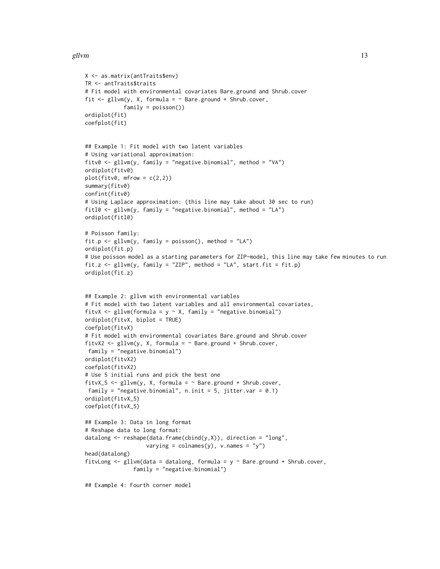```
X <- as.matrix(antTraits$env)
TR <- antTraits$traits
# Fit model with environmental covariates Bare.ground and Shrub.cover
fit \le gllvm(y, X, formula = \sim Bare.ground + Shrub.cover,
            family = poisson())
ordiplot(fit)
coefplot(fit)
## Example 1: Fit model with two latent variables
# Using variational approximation:
fitv0 <- gllvm(y, family = "negative.binomial", method = "VA")
ordiplot(fitv0)
plot(fitv0, mfrow = c(2,2))summary(fitv0)
confint(fitv0)
# Using Laplace approximation: (this line may take about 30 sec to run)
fitl0 <- gllvm(y, family = "negative.binomial", method = "LA")
ordiplot(fitl0)
# Poisson family:
fit.p \le gllvm(y, family = poisson(), method = "LA")
ordiplot(fit.p)
# Use poisson model as a starting parameters for ZIP-model, this line may take few minutes to run
fit.z <- gllvm(y, family = "ZIP", method = "LA", start.fit = fit.p)
ordiplot(fit.z)
## Example 2: gllvm with environmental variables
# Fit model with two latent variables and all environmental covariates,
fitvX <- gllvm(formula = y \sim X, family = "negative.binomial")
ordiplot(fitvX, biplot = TRUE)
coefplot(fitvX)
# Fit model with environmental covariates Bare.ground and Shrub.cover
fitvX2 <- gllvm(y, X, formula = ~Bare.ground + Shrub.cover,family = "negative.binomial")
ordiplot(fitvX2)
coefplot(fitvX2)
# Use 5 initial runs and pick the best one
fitvX_5 <- gllvm(y, X, formula = ~Bare.ground + Shrub.cover,family = "negative.binomial", n.init = 5, jitter.var = 0.1)
ordiplot(fitvX_5)
coefplot(fitvX_5)
## Example 3: Data in long format
# Reshape data to long format:
datalong <- reshape(data.frame(cbind(y,X)), direction = "long",
                   varying = colnames(y), v.names = "y")
head(datalong)
fitvLong \leq gllvm(data = datalong, formula = y \sim Bare.ground + Shrub.cover,
               family = "negative.binomial")
## Example 4: Fourth corner model
```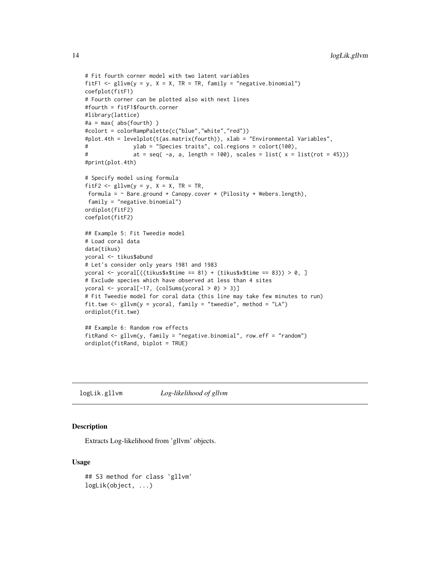```
# Fit fourth corner model with two latent variables
fitF1 \le gllvm(y = y, X = X, TR = TR, family = "negative.binomial")
coefplot(fitF1)
# Fourth corner can be plotted also with next lines
#fourth = fitF1$fourth.corner
#library(lattice)
#a = max( abs(fourth) )
#colort = colorRampPalette(c("blue","white","red"))
#plot.4th = levelplot(t(as.matrix(fourth)), xlab = "Environmental Variables",
# ylab = "Species traits", col.regions = colort(100),
# at = seq(-a, a, length = 100), scales = list(x = list(root = 45)))#print(plot.4th)
# Specify model using formula
fitF2 <- gllvm(y = y, X = X, TR = TR,formula = \sim Bare.ground + Canopy.cover * (Pilosity + Webers.length),
family = "negative.binomial")
ordiplot(fitF2)
coefplot(fitF2)
## Example 5: Fit Tweedie model
# Load coral data
data(tikus)
ycoral <- tikus$abund
# Let's consider only years 1981 and 1983
ycoral <- ycoral[((tikus$x$time == 81) + (tikus$x$time == 83)) > 0, ]
# Exclude species which have observed at less than 4 sites
ycoral <- ycoral[-17, (colSums(ycoral > 0) > 3)]
# Fit Tweedie model for coral data (this line may take few minutes to run)
fit.twe <- gllvm(y = ycoral, family = "tweedie", method = "LA")
ordiplot(fit.twe)
## Example 6: Random row effects
fitRand <- gllvm(y, family = "negative.binomial", row.eff = "random")
ordiplot(fitRand, biplot = TRUE)
```
logLik.gllvm *Log-likelihood of gllvm*

### **Description**

Extracts Log-likelihood from 'gllvm' objects.

### Usage

```
## S3 method for class 'gllvm'
logLik(object, ...)
```
<span id="page-13-0"></span>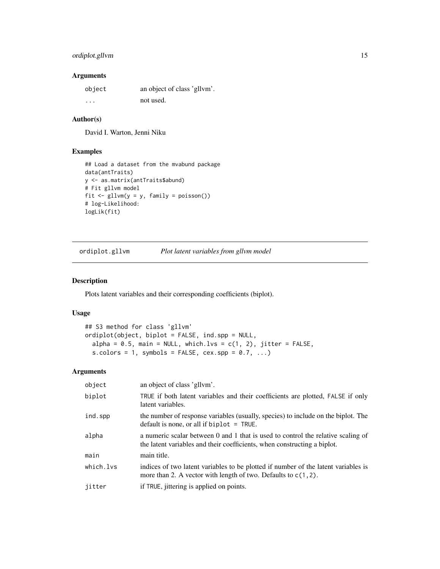# <span id="page-14-0"></span>ordiplot.gllvm 15

# Arguments

| object  | an object of class 'gllym'. |
|---------|-----------------------------|
| $\cdot$ | not used.                   |

# Author(s)

David I. Warton, Jenni Niku

# Examples

```
## Load a dataset from the mvabund package
data(antTraits)
y <- as.matrix(antTraits$abund)
# Fit gllvm model
fit \le gllvm(y = y, family = poisson())
# log-Likelihood:
logLik(fit)
```
<span id="page-14-1"></span>ordiplot.gllvm *Plot latent variables from gllvm model*

# Description

Plots latent variables and their corresponding coefficients (biplot).

#### Usage

```
## S3 method for class 'gllvm'
ordiplot(object, biplot = FALSE, ind.spp = NULL,
  alpha = 0.5, main = NULL, which.lvs = c(1, 2), jitter = FALSE,
  s.colors = 1, symbols = FALSE, cex.\,spp = 0.7, \ldots)
```
# Arguments

| object    | an object of class 'gllvm'.                                                                                                                                  |
|-----------|--------------------------------------------------------------------------------------------------------------------------------------------------------------|
| biplot    | TRUE if both latent variables and their coefficients are plotted, FALSE if only<br>latent variables.                                                         |
| ind.spp   | the number of response variables (usually, species) to include on the biplot. The<br>default is none, or all if biplot $=$ TRUE.                             |
| alpha     | a numeric scalar between 0 and 1 that is used to control the relative scaling of<br>the latent variables and their coefficients, when constructing a biplot. |
| main      | main title.                                                                                                                                                  |
| which.lvs | indices of two latent variables to be plotted if number of the latent variables is<br>more than 2. A vector with length of two. Defaults to $c(1, 2)$ .      |
| jitter    | if TRUE, jittering is applied on points.                                                                                                                     |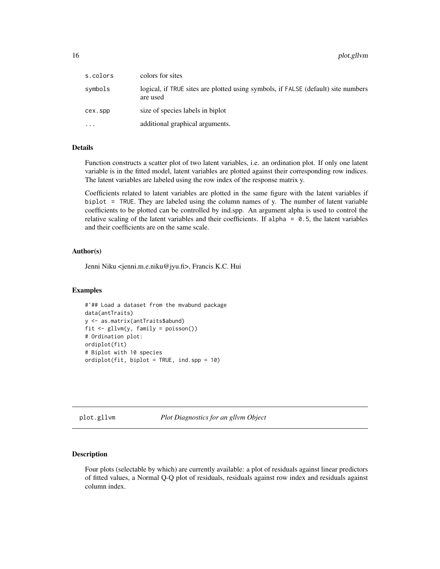<span id="page-15-0"></span>

| s.colors  | colors for sites                                                                              |
|-----------|-----------------------------------------------------------------------------------------------|
| symbols   | logical, if TRUE sites are plotted using symbols, if FALSE (default) site numbers<br>are used |
| cex.spp   | size of species labels in biplot                                                              |
| $\ddotsc$ | additional graphical arguments.                                                               |

#### Details

Function constructs a scatter plot of two latent variables, i.e. an ordination plot. If only one latent variable is in the fitted model, latent variables are plotted against their corresponding row indices. The latent variables are labeled using the row index of the response matrix y.

Coefficients related to latent variables are plotted in the same figure with the latent variables if biplot = TRUE. They are labeled using the column names of y. The number of latent variable coefficients to be plotted can be controlled by ind.spp. An argument alpha is used to control the relative scaling of the latent variables and their coefficients. If alpha =  $0.5$ , the latent variables and their coefficients are on the same scale.

#### Author(s)

Jenni Niku <jenni.m.e.niku@jyu.fi>, Francis K.C. Hui

#### Examples

```
#'## Load a dataset from the mvabund package
data(antTraits)
y <- as.matrix(antTraits$abund)
fit <- gllvm(y, family = poisson())
# Ordination plot:
ordiplot(fit)
# Biplot with 10 species
ordiplot(fit, biplot = TRUE, ind.spp = 10)
```
<span id="page-15-1"></span>plot.gllvm *Plot Diagnostics for an gllvm Object*

# **Description**

Four plots (selectable by which) are currently available: a plot of residuals against linear predictors of fitted values, a Normal Q-Q plot of residuals, residuals against row index and residuals against column index.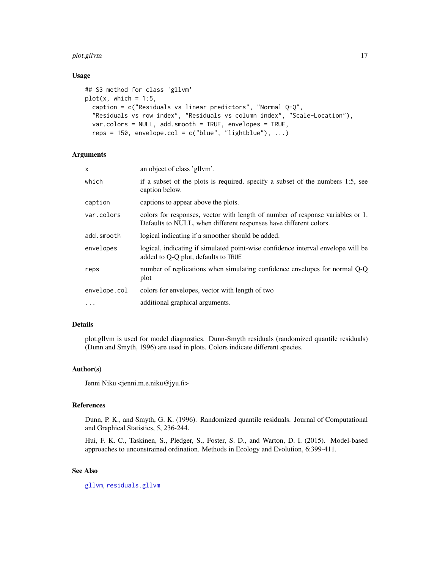# <span id="page-16-0"></span>plot.gllvm 17

#### Usage

```
## S3 method for class 'gllvm'
plot(x, which = 1:5,caption = c("Residuals vs linear predictors", "Normal Q-Q",
  "Residuals vs row index", "Residuals vs column index", "Scale-Location"),
  var.colors = NULL, add.smooth = TRUE, envelopes = TRUE,
  reps = 150, envelope.col = c("blue", "lightblue"), ...)
```
# Arguments

| x            | an object of class 'gllym'.                                                                                                                         |
|--------------|-----------------------------------------------------------------------------------------------------------------------------------------------------|
| which        | if a subset of the plots is required, specify a subset of the numbers 1:5, see<br>caption below.                                                    |
| caption      | captions to appear above the plots.                                                                                                                 |
| var.colors   | colors for responses, vector with length of number of response variables or 1.<br>Defaults to NULL, when different responses have different colors. |
| add.smooth   | logical indicating if a smoother should be added.                                                                                                   |
| envelopes    | logical, indicating if simulated point-wise confidence interval envelope will be<br>added to Q-Q plot, defaults to TRUE                             |
| reps         | number of replications when simulating confidence envelopes for normal Q-Q<br>plot                                                                  |
| envelope.col | colors for envelopes, vector with length of two                                                                                                     |
| $\cdots$     | additional graphical arguments.                                                                                                                     |
|              |                                                                                                                                                     |

# Details

plot.gllvm is used for model diagnostics. Dunn-Smyth residuals (randomized quantile residuals) (Dunn and Smyth, 1996) are used in plots. Colors indicate different species.

# Author(s)

Jenni Niku <jenni.m.e.niku@jyu.fi>

#### References

Dunn, P. K., and Smyth, G. K. (1996). Randomized quantile residuals. Journal of Computational and Graphical Statistics, 5, 236-244.

Hui, F. K. C., Taskinen, S., Pledger, S., Foster, S. D., and Warton, D. I. (2015). Model-based approaches to unconstrained ordination. Methods in Ecology and Evolution, 6:399-411.

# See Also

[gllvm](#page-8-1), [residuals.gllvm](#page-19-1)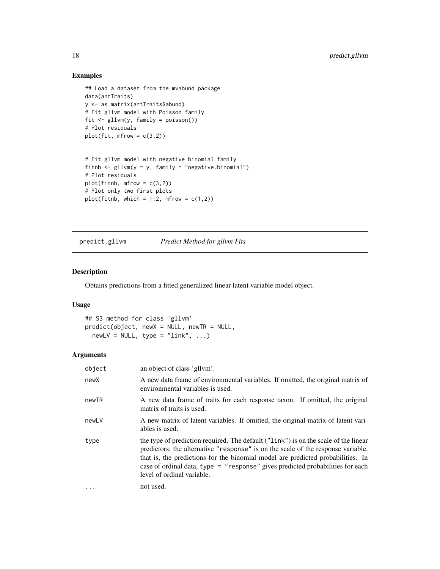# Examples

```
## Load a dataset from the mvabund package
data(antTraits)
y <- as.matrix(antTraits$abund)
# Fit gllvm model with Poisson family
fit <- gllvm(y, family = poisson())
# Plot residuals
plot(fit, mfrow = c(3,2))# Fit gllvm model with negative binomial family
fitnb \leq gllvm(y = y, family = "negative.binomial")
# Plot residuals
plot(fithb, mfrow = c(3,2))# Plot only two first plots
```
predict.gllvm *Predict Method for gllvm Fits*

plot(fitnb, which = 1:2, mfrow =  $c(1,2)$ )

# Description

Obtains predictions from a fitted generalized linear latent variable model object.

#### Usage

## S3 method for class 'gllvm' predict(object, newX = NULL, newTR = NULL,  $newLV = NULL, type = "link", ...)$ 

# Arguments

| object   | an object of class 'gllym'.                                                                                                                                                                                                                                                                                                                                                |
|----------|----------------------------------------------------------------------------------------------------------------------------------------------------------------------------------------------------------------------------------------------------------------------------------------------------------------------------------------------------------------------------|
| newX     | A new data frame of environmental variables. If omitted, the original matrix of<br>environmental variables is used.                                                                                                                                                                                                                                                        |
| newTR    | A new data frame of traits for each response taxon. If omitted, the original<br>matrix of traits is used.                                                                                                                                                                                                                                                                  |
| newLV    | A new matrix of latent variables. If omitted, the original matrix of latent vari-<br>ables is used.                                                                                                                                                                                                                                                                        |
| type     | the type of prediction required. The default ("link") is on the scale of the linear<br>predictors; the alternative "response" is on the scale of the response variable.<br>that is, the predictions for the binomial model are predicted probabilities. In<br>case of ordinal data, type = "response" gives predicted probabilities for each<br>level of ordinal variable. |
| $\cdots$ | not used.                                                                                                                                                                                                                                                                                                                                                                  |

<span id="page-17-0"></span>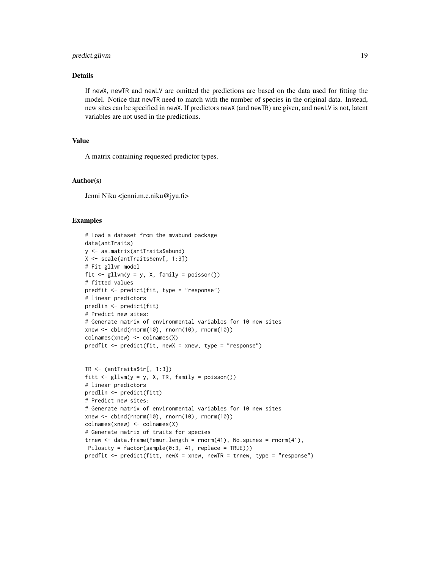# predict.gllvm 19

# Details

If newX, newTR and newLV are omitted the predictions are based on the data used for fitting the model. Notice that newTR need to match with the number of species in the original data. Instead, new sites can be specified in newX. If predictors newX (and newTR) are given, and newLV is not, latent variables are not used in the predictions.

# Value

A matrix containing requested predictor types.

#### Author(s)

Jenni Niku <jenni.m.e.niku@jyu.fi>

```
# Load a dataset from the mvabund package
data(antTraits)
y <- as.matrix(antTraits$abund)
X <- scale(antTraits$env[, 1:3])
# Fit gllvm model
fit \le gllvm(y = y, X, family = poisson())
# fitted values
predfit <- predict(fit, type = "response")
# linear predictors
predlin <- predict(fit)
# Predict new sites:
# Generate matrix of environmental variables for 10 new sites
xnew <- cbind(rnorm(10), rnorm(10), rnorm(10))
colnames(xnew) <- colnames(X)
predfit <- predict(fit, newX = xnew, type = "response")
TR <- (antTraits$tr[, 1:3])
fitt \leq gllvm(y = y, X, TR, family = poisson())
# linear predictors
predlin <- predict(fitt)
# Predict new sites:
# Generate matrix of environmental variables for 10 new sites
xnew <- cbind(rnorm(10), rnorm(10), rnorm(10))
colnames(xnew) <- colnames(X)
# Generate matrix of traits for species
trnew \leq data.frame(Femur.length = rnorm(41), No.spines = rnorm(41),
Pilosity = factor(sample(0:3, 41, replace = TRUE)))
predfit <- predict(fitt, newX = xnew, newTR = trnew, type = "response")
```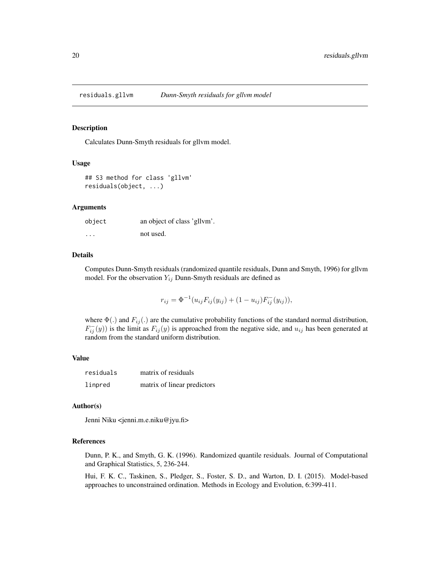<span id="page-19-1"></span><span id="page-19-0"></span>

#### Description

Calculates Dunn-Smyth residuals for gllvm model.

#### Usage

```
## S3 method for class 'gllvm'
residuals(object, ...)
```
#### Arguments

| object  | an object of class 'gllvm'. |
|---------|-----------------------------|
| $\cdot$ | not used.                   |

# Details

Computes Dunn-Smyth residuals (randomized quantile residuals, Dunn and Smyth, 1996) for gllvm model. For the observation  $Y_{ij}$  Dunn-Smyth residuals are defined as

$$
r_{ij} = \Phi^{-1}(u_{ij}F_{ij}(y_{ij}) + (1 - u_{ij})F_{ij}^{-}(y_{ij})),
$$

where  $\Phi(.)$  and  $F_{ij}(.)$  are the cumulative probability functions of the standard normal distribution,  $F_{ij}^{-}(y)$ ) is the limit as  $F_{ij}(y)$  is approached from the negative side, and  $u_{ij}$  has been generated at random from the standard uniform distribution.

#### Value

| residuals | matrix of residuals         |
|-----------|-----------------------------|
| linpred   | matrix of linear predictors |

#### Author(s)

Jenni Niku <jenni.m.e.niku@jyu.fi>

#### References

Dunn, P. K., and Smyth, G. K. (1996). Randomized quantile residuals. Journal of Computational and Graphical Statistics, 5, 236-244.

Hui, F. K. C., Taskinen, S., Pledger, S., Foster, S. D., and Warton, D. I. (2015). Model-based approaches to unconstrained ordination. Methods in Ecology and Evolution, 6:399-411.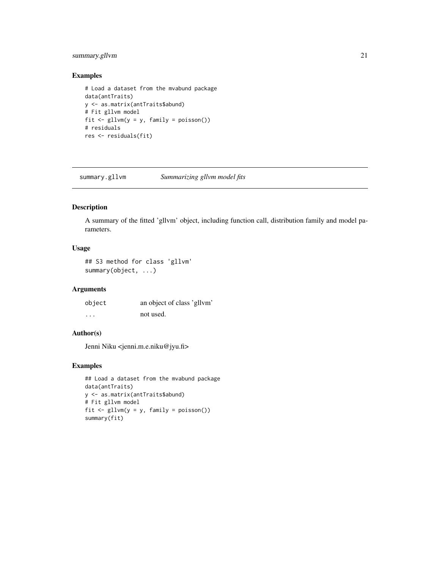# <span id="page-20-0"></span>summary.gllvm 21

# Examples

```
# Load a dataset from the mvabund package
data(antTraits)
y <- as.matrix(antTraits$abund)
# Fit gllvm model
fit <- gllvm(y = y, family = poisson())
# residuals
res <- residuals(fit)
```
<span id="page-20-1"></span>summary.gllvm *Summarizing gllvm model fits*

# Description

A summary of the fitted 'gllvm' object, including function call, distribution family and model parameters.

# Usage

## S3 method for class 'gllvm' summary(object, ...)

# Arguments

| object | an object of class 'gllvm' |
|--------|----------------------------|
| .      | not used.                  |

#### Author(s)

Jenni Niku <jenni.m.e.niku@jyu.fi>

```
## Load a dataset from the mvabund package
data(antTraits)
y <- as.matrix(antTraits$abund)
# Fit gllvm model
fit <- gllvm(y = y, family = poisson())
summary(fit)
```